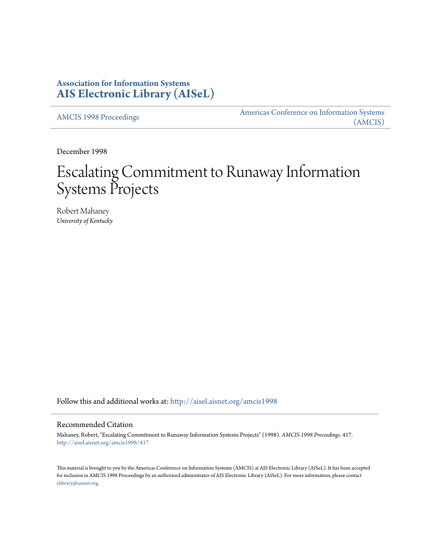# **Association for Information Systems [AIS Electronic Library \(AISeL\)](http://aisel.aisnet.org?utm_source=aisel.aisnet.org%2Famcis1998%2F417&utm_medium=PDF&utm_campaign=PDFCoverPages)**

[AMCIS 1998 Proceedings](http://aisel.aisnet.org/amcis1998?utm_source=aisel.aisnet.org%2Famcis1998%2F417&utm_medium=PDF&utm_campaign=PDFCoverPages)

[Americas Conference on Information Systems](http://aisel.aisnet.org/amcis?utm_source=aisel.aisnet.org%2Famcis1998%2F417&utm_medium=PDF&utm_campaign=PDFCoverPages) [\(AMCIS\)](http://aisel.aisnet.org/amcis?utm_source=aisel.aisnet.org%2Famcis1998%2F417&utm_medium=PDF&utm_campaign=PDFCoverPages)

December 1998

# Escalating Commitment to Runaway Information Systems Projects

Robert Mahaney *University of Kentucky*

Follow this and additional works at: [http://aisel.aisnet.org/amcis1998](http://aisel.aisnet.org/amcis1998?utm_source=aisel.aisnet.org%2Famcis1998%2F417&utm_medium=PDF&utm_campaign=PDFCoverPages)

# Recommended Citation

Mahaney, Robert, "Escalating Commitment to Runaway Information Systems Projects" (1998). *AMCIS 1998 Proceedings*. 417. [http://aisel.aisnet.org/amcis1998/417](http://aisel.aisnet.org/amcis1998/417?utm_source=aisel.aisnet.org%2Famcis1998%2F417&utm_medium=PDF&utm_campaign=PDFCoverPages)

This material is brought to you by the Americas Conference on Information Systems (AMCIS) at AIS Electronic Library (AISeL). It has been accepted for inclusion in AMCIS 1998 Proceedings by an authorized administrator of AIS Electronic Library (AISeL). For more information, please contact [elibrary@aisnet.org.](mailto:elibrary@aisnet.org%3E)